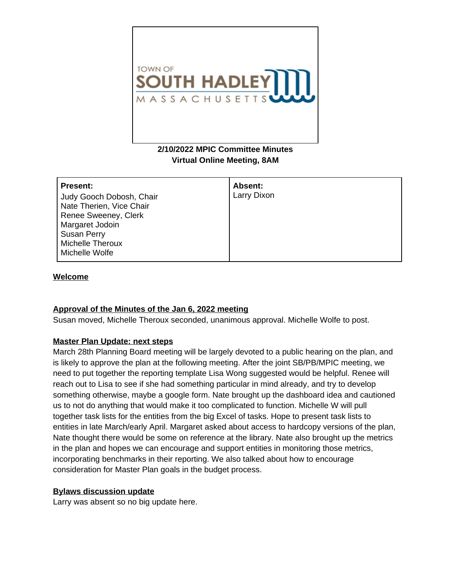

# **2/10/2022 MPIC Committee Minutes Virtual Online Meeting, 8AM**

| <b>Present:</b>          | Absent:     |
|--------------------------|-------------|
| Judy Gooch Dobosh, Chair | Larry Dixon |
| Nate Therien, Vice Chair |             |
| Renee Sweeney, Clerk     |             |
| Margaret Jodoin          |             |
| <b>Susan Perry</b>       |             |
| Michelle Theroux         |             |
| Michelle Wolfe           |             |

### **Welcome**

## **Approval of the Minutes of the Jan 6, 2022 meeting**

Susan moved, Michelle Theroux seconded, unanimous approval. Michelle Wolfe to post.

#### **Master Plan Update: next steps**

March 28th Planning Board meeting will be largely devoted to a public hearing on the plan, and is likely to approve the plan at the following meeting. After the joint SB/PB/MPIC meeting, we need to put together the reporting template Lisa Wong suggested would be helpful. Renee will reach out to Lisa to see if she had something particular in mind already, and try to develop something otherwise, maybe a google form. Nate brought up the dashboard idea and cautioned us to not do anything that would make it too complicated to function. Michelle W will pull together task lists for the entities from the big Excel of tasks. Hope to present task lists to entities in late March/early April. Margaret asked about access to hardcopy versions of the plan, Nate thought there would be some on reference at the library. Nate also brought up the metrics in the plan and hopes we can encourage and support entities in monitoring those metrics, incorporating benchmarks in their reporting. We also talked about how to encourage consideration for Master Plan goals in the budget process.

#### **Bylaws discussion update**

Larry was absent so no big update here.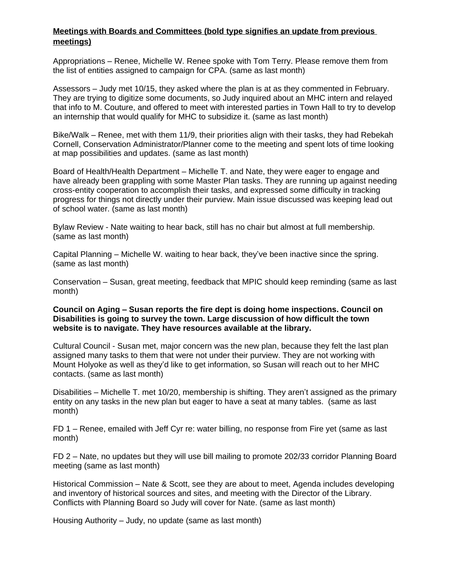# **Meetings with Boards and Committees (bold type signifies an update from previous meetings)**

Appropriations – Renee, Michelle W. Renee spoke with Tom Terry. Please remove them from the list of entities assigned to campaign for CPA. (same as last month)

Assessors – Judy met 10/15, they asked where the plan is at as they commented in February. They are trying to digitize some documents, so Judy inquired about an MHC intern and relayed that info to M. Couture, and offered to meet with interested parties in Town Hall to try to develop an internship that would qualify for MHC to subsidize it. (same as last month)

Bike/Walk – Renee, met with them 11/9, their priorities align with their tasks, they had Rebekah Cornell, Conservation Administrator/Planner come to the meeting and spent lots of time looking at map possibilities and updates. (same as last month)

Board of Health/Health Department – Michelle T. and Nate, they were eager to engage and have already been grappling with some Master Plan tasks. They are running up against needing cross-entity cooperation to accomplish their tasks, and expressed some difficulty in tracking progress for things not directly under their purview. Main issue discussed was keeping lead out of school water. (same as last month)

Bylaw Review - Nate waiting to hear back, still has no chair but almost at full membership. (same as last month)

Capital Planning – Michelle W. waiting to hear back, they've been inactive since the spring. (same as last month)

Conservation – Susan, great meeting, feedback that MPIC should keep reminding (same as last month)

### **Council on Aging – Susan reports the fire dept is doing home inspections. Council on Disabilities is going to survey the town. Large discussion of how difficult the town website is to navigate. They have resources available at the library.**

Cultural Council - Susan met, major concern was the new plan, because they felt the last plan assigned many tasks to them that were not under their purview. They are not working with Mount Holyoke as well as they'd like to get information, so Susan will reach out to her MHC contacts. (same as last month)

Disabilities – Michelle T. met 10/20, membership is shifting. They aren't assigned as the primary entity on any tasks in the new plan but eager to have a seat at many tables. (same as last month)

FD 1 – Renee, emailed with Jeff Cyr re: water billing, no response from Fire yet (same as last month)

FD 2 – Nate, no updates but they will use bill mailing to promote 202/33 corridor Planning Board meeting (same as last month)

Historical Commission – Nate & Scott, see they are about to meet, Agenda includes developing and inventory of historical sources and sites, and meeting with the Director of the Library. Conflicts with Planning Board so Judy will cover for Nate. (same as last month)

Housing Authority – Judy, no update (same as last month)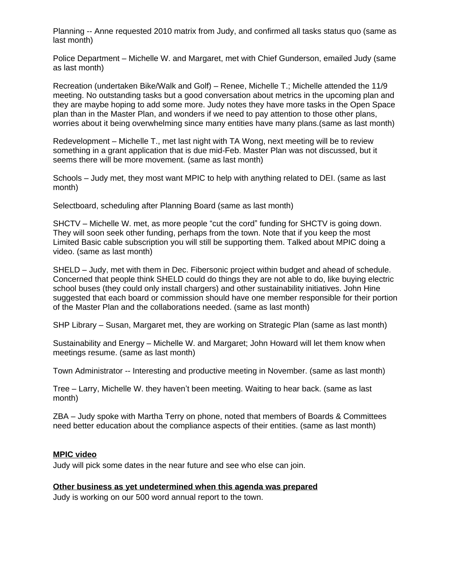Planning -- Anne requested 2010 matrix from Judy, and confirmed all tasks status quo (same as last month)

Police Department – Michelle W. and Margaret, met with Chief Gunderson, emailed Judy (same as last month)

Recreation (undertaken Bike/Walk and Golf) – Renee, Michelle T.; Michelle attended the 11/9 meeting. No outstanding tasks but a good conversation about metrics in the upcoming plan and they are maybe hoping to add some more. Judy notes they have more tasks in the Open Space plan than in the Master Plan, and wonders if we need to pay attention to those other plans, worries about it being overwhelming since many entities have many plans.(same as last month)

Redevelopment – Michelle T., met last night with TA Wong, next meeting will be to review something in a grant application that is due mid-Feb. Master Plan was not discussed, but it seems there will be more movement. (same as last month)

Schools – Judy met, they most want MPIC to help with anything related to DEI. (same as last month)

Selectboard, scheduling after Planning Board (same as last month)

SHCTV – Michelle W. met, as more people "cut the cord" funding for SHCTV is going down. They will soon seek other funding, perhaps from the town. Note that if you keep the most Limited Basic cable subscription you will still be supporting them. Talked about MPIC doing a video. (same as last month)

SHELD – Judy, met with them in Dec. Fibersonic project within budget and ahead of schedule. Concerned that people think SHELD could do things they are not able to do, like buying electric school buses (they could only install chargers) and other sustainability initiatives. John Hine suggested that each board or commission should have one member responsible for their portion of the Master Plan and the collaborations needed. (same as last month)

SHP Library – Susan, Margaret met, they are working on Strategic Plan (same as last month)

Sustainability and Energy – Michelle W. and Margaret; John Howard will let them know when meetings resume. (same as last month)

Town Administrator -- Interesting and productive meeting in November. (same as last month)

Tree – Larry, Michelle W. they haven't been meeting. Waiting to hear back. (same as last month)

ZBA – Judy spoke with Martha Terry on phone, noted that members of Boards & Committees need better education about the compliance aspects of their entities. (same as last month)

## **MPIC video**

Judy will pick some dates in the near future and see who else can join.

## **Other business as yet undetermined when this agenda was prepared**

Judy is working on our 500 word annual report to the town.